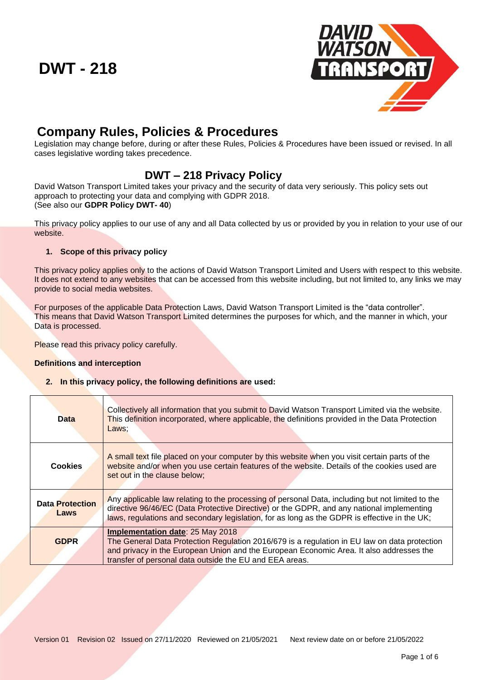

# **Company Rules, Policies & Procedures**

Legislation may change before, during or after these Rules, Policies & Procedures have been issued or revised. In all cases legislative wording takes precedence.

## **DWT – 218 Privacy Policy**

David Watson Transport Limited takes your privacy and the security of data very seriously. This policy sets out approach to protecting your data and complying with GDPR 2018. (See also our **GDPR Policy DWT- 40**)

This privacy policy applies to our use of any and all Data collected by us or provided by you in relation to your use of our website.

## **1. Scope of this privacy policy**

This privacy policy applies only to the actions of David Watson Transport Limited and Users with respect to this website. It does not extend to any websites that can be accessed from this website including, but not limited to, any links we may provide to social media websites.

For purposes of the applicable Data Protection Laws, David Watson Transport Limited is the "data controller". This means that David Watson Transport Limited determines the purposes for which, and the manner in which, your Data is processed.

Please read this privacy policy carefully.

## **Definitions and interception**

**2. In this privacy policy, the following definitions are used:**

| <b>Data</b>                    | Collectively all information that you submit to David Watson Transport Limited via the website.<br>This definition incorporated, where applicable, the definitions provided in the Data Protection<br>Laws:                                                                                   |
|--------------------------------|-----------------------------------------------------------------------------------------------------------------------------------------------------------------------------------------------------------------------------------------------------------------------------------------------|
| <b>Cookies</b>                 | A small text file placed on your computer by this website when you visit certain parts of the<br>website and/or when you use certain features of the website. Details of the cookies used are<br>set out in the clause below;                                                                 |
| <b>Data Protection</b><br>Laws | Any applicable law relating to the processing of personal Data, including but not limited to the<br>directive 96/46/EC (Data Protective Directive) or the GDPR, and any national implementing<br>laws, regulations and secondary legislation, for as long as the GDPR is effective in the UK; |
| <b>GDPR</b>                    | <b>Implementation date: 25 May 2018</b><br>The General Data Protection Regulation 2016/679 is a regulation in EU law on data protection<br>and privacy in the European Union and the European Economic Area. It also addresses the<br>transfer of personal data outside the EU and EEA areas. |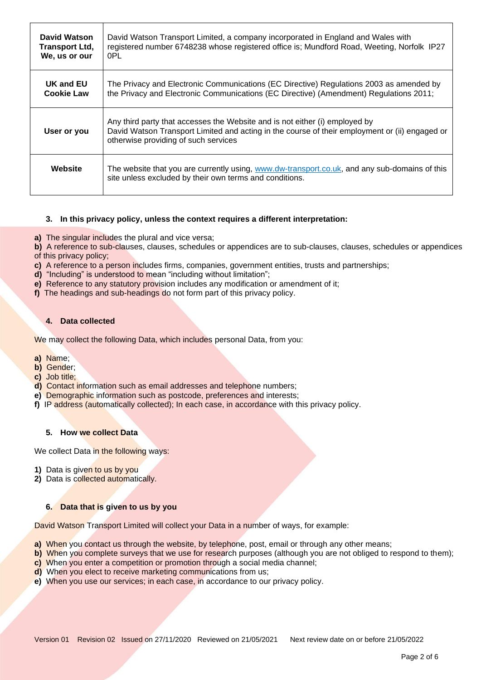| David Watson          | David Watson Transport Limited, a company incorporated in England and Wales with                                                                                                                                      |
|-----------------------|-----------------------------------------------------------------------------------------------------------------------------------------------------------------------------------------------------------------------|
| <b>Transport Ltd,</b> | registered number 6748238 whose registered office is; Mundford Road, Weeting, Norfolk IP27                                                                                                                            |
| We, us or our         | 0PL                                                                                                                                                                                                                   |
| UK and EU             | The Privacy and Electronic Communications (EC Directive) Regulations 2003 as amended by                                                                                                                               |
| <b>Cookie Law</b>     | the Privacy and Electronic Communications (EC Directive) (Amendment) Regulations 2011;                                                                                                                                |
| User or you           | Any third party that accesses the Website and is not either (i) employed by<br>David Watson Transport Limited and acting in the course of their employment or (ii) engaged or<br>otherwise providing of such services |
| Website               | The website that you are currently using, www.dw-transport.co.uk, and any sub-domains of this<br>site unless excluded by their own terms and conditions.                                                              |

## **3. In this privacy policy, unless the context requires a different interpretation:**

**a)** The singular includes the plural and vice versa;

**b)** A reference to sub-clauses, clauses, schedules or appendices are to sub-clauses, clauses, schedules or appendices of this privacy policy;

**c)** A reference to a person includes firms, companies, government entities, trusts and partnerships;

- **d)** "Including" is understood to mean "including without limitation";
- **e)** Reference to any statutory provision includes any modification or amendment of it;
- **f)** The headings and sub-headings do not form part of this privacy policy.

#### **4. Data collected**

We may collect the following Data, which includes personal Data, from you:

- **a)** Name;
- **b)** Gender;
- **c)** Job title;
- **d)** Contact information such as email addresses and telephone numbers;
- **e)** Demographic information such as postcode, preferences and interests;
- **f)** IP address (automatically collected); In each case, in accordance with this privacy policy.

#### **5. How we collect Data**

We collect Data in the following ways:

- **1)** Data is given to us by you
- **2)** Data is collected automatically.

#### **6. Data that is given to us by you**

David Watson Transport Limited will collect your Data in a number of ways, for example:

- **a)** When you contact us through the website, by telephone, post, email or through any other means;
- **b)** When you complete surveys that we use for research purposes (although you are not obliged to respond to them);
- **c)** When you enter a competition or promotion through a social media channel;
- **d)** When you elect to receive marketing communications from us;
- **e)** When you use our services; in each case, in accordance to our privacy policy.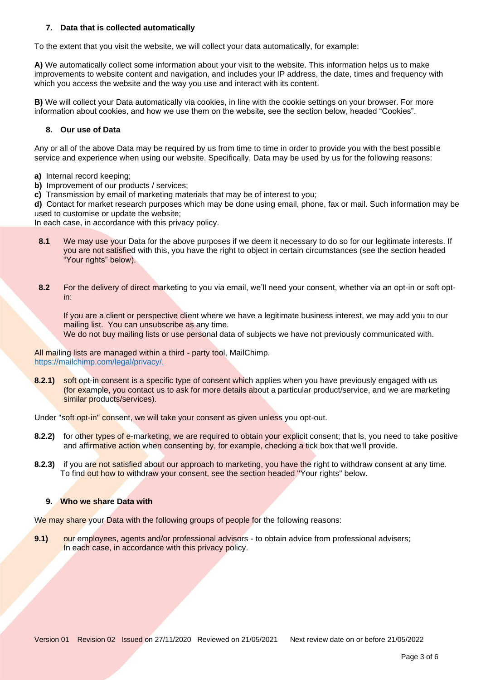#### **7. Data that is collected automatically**

To the extent that you visit the website, we will collect your data automatically, for example:

**A)** We automatically collect some information about your visit to the website. This information helps us to make improvements to website content and navigation, and includes your IP address, the date, times and frequency with which you access the website and the way you use and interact with its content.

**B)** We will collect your Data automatically via cookies, in line with the cookie settings on your browser. For more information about cookies, and how we use them on the website, see the section below, headed "Cookies".

#### **8. Our use of Data**

Any or all of the above Data may be required by us from time to time in order to provide you with the best possible service and experience when using our website. Specifically, Data may be used by us for the following reasons:

- **a)** Internal record keeping;
- **b)** Improvement of our products / services;
- **c)** Transmission by email of marketing materials that may be of interest to you;

**d)** Contact for market research purposes which may be done using email, phone, fax or mail. Such information may be used to customise or update the website;

In each case, in accordance with this privacy policy.

- 8.1 We may use your Data for the above purposes if we deem it necessary to do so for our legitimate interests. If you are not satisfied with this, you have the right to object in certain circumstances (see the section headed "Your rights" below).
- **8.2** For the delivery of direct marketing to you via email, we'll need your consent, whether via an opt-in or soft optin:

If you are a client or perspective client where we have a legitimate business interest, we may add you to our mailing list. You can unsubscribe as any time.

We do not buy mailing lists or use personal data of subjects we have not previously communicated with.

All mailing lists are managed within a third - party tool, MailChimp. https://mailchimp.com/legal/privacy/.

**8.2.1)** soft opt-in consent is a specific type of consent which applies when you have previously engaged with us (for example, you contact us to ask for more details about a particular product/service, and we are marketing similar products/services).

Under "soft opt-in" consent, we will take your consent as given unless you opt-out.

- **8.2.2)** for other types of e-marketing, we are required to obtain your explicit consent; that ls, you need to take positive and affirmative action when consenting by, for example, checking a tick box that we'll provide.
- **8.2.3)** if you are not satisfied about our approach to marketing, you have the right to withdraw consent at any time. To find out how to withdraw your consent, see the section headed ''Your rights" below.

#### **9. Who we share Data with**

We may share your Data with the following groups of people for the following reasons:

**9.1)** our employees, agents and/or professional advisors - to obtain advice from professional advisers; In each case, in accordance with this privacy policy.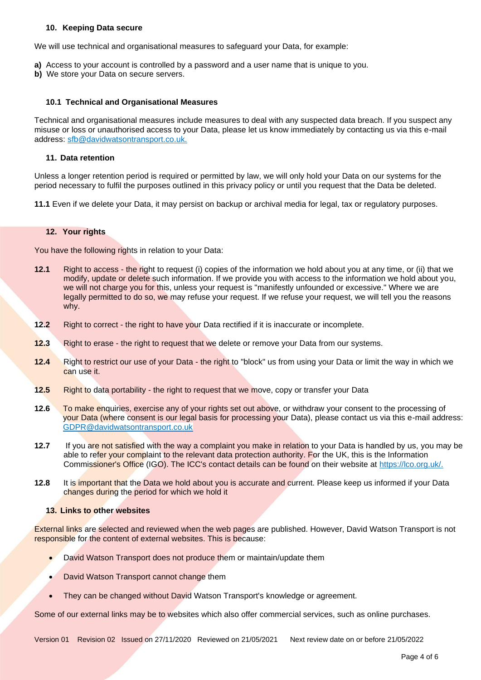#### **10. Keeping Data secure**

We will use technical and organisational measures to safeguard your Data, for example:

- **a)** Access to your account is controlled by a password and a user name that is unique to you.
- **b)** We store your Data on secure servers.

#### **10.1 Technical and Organisational Measures**

Technical and organisational measures include measures to deal with any suspected data breach. If you suspect any misuse or loss or unauthorised access to your Data, please let us know immediately by contacting us via this e-mail address: sfb@davidwatsontransport.co.uk.

#### **11. Data retention**

Unless a longer retention period is required or permitted by law, we will only hold your Data on our systems for the period necessary to fulfil the purposes outlined in this privacy policy or until you request that the Data be deleted.

**11.1** Even if we delete your Data, it may persist on backup or archival media for legal, tax or regulatory purposes.

#### **12. Your rights**

You have the following rights in relation to your Data:

- **12.1** Right to access the right to request (i) copies of the information we hold about you at any time, or (ii) that we modify, update or delete such information. If we provide you with access to the information we hold about you, we will not charge you for this, unless your request is "manifestly unfounded or excessive." Where we are legally permitted to do so, we may refuse your request. If we refuse your request, we will tell you the reasons why.
- **12.2** Right to correct the right to have your Data rectified if it is inaccurate or incomplete.
- **12.3** Right to erase the right to request that we delete or remove your Data from our systems.
- **12.4** Right to restrict our use of your Data the right to "block" us from using your Data or limit the way in which we can use it.
- **12.5** Right to data portability the right to request that we move, copy or transfer your Data
- **12.6** To make enquiries, exercise any of your rights set out above, or withdraw your consent to the processing of your Data (where consent is our legal basis for processing your Data), please contact us via this e-mail address: GDPR@davidwatsontransport.co.uk
- **12.7** If you are not satisfied with the way a complaint you make in relation to your Data is handled by us, you may be able to refer your complaint to the relevant data protection authority. For the UK, this is the Information Commissioner's Office (IGO). The ICC's contact details can be found on their website at https://lco.org.uk/.
- **12.8** It is important that the Data we hold about you is accurate and current. Please keep us informed if your Data changes during the period for which we hold it

## **13. Links to other websites**

External links are selected and reviewed when the web pages are published. However, David Watson Transport is not responsible for the content of external websites. This is because:

- David Watson Transport does not produce them or maintain/update them
- David Watson Transport cannot change them
- They can be changed without David Watson Transport's knowledge or agreement.

Some of our external links may be to websites which also offer commercial services, such as online purchases.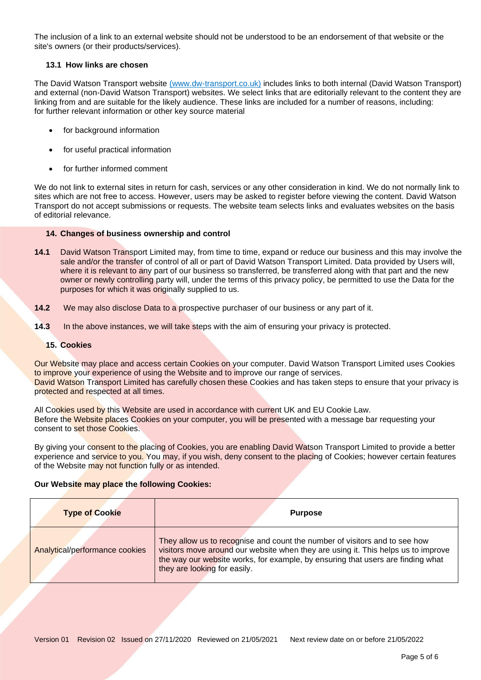The inclusion of a link to an external website should not be understood to be an endorsement of that website or the site's owners (or their products/services).

## **13.1 How links are chosen**

The David Watson Transport website (www.dw-transport.co.uk) includes links to both internal (David Watson Transport) and external (non-David Watson Transport) websites. We select links that are editorially relevant to the content they are linking from and are suitable for the likely audience. These links are included for a number of reasons, including: for further relevant information or other key source material

- for background information
- for useful practical information
- for further informed comment

We do not link to external sites in return for cash, services or any other consideration in kind. We do not normally link to sites which are not free to access. However, users may be asked to register before viewing the content. David Watson Transport do not accept submissions or requests. The website team selects links and evaluates websites on the basis of editorial relevance.

## **14. Changes of business ownership and control**

- **14.1** David Watson Transport Limited may, from time to time, expand or reduce our business and this may involve the sale and/or the transfer of control of all or part of David Watson Transport Limited. Data provided by Users will, where it is relevant to any part of our business so transferred, be transferred along with that part and the new owner or newly controlling party will, under the terms of this privacy policy, be permitted to use the Data for the purposes for which it was originally supplied to us.
- **14.2** We may also disclose Data to a prospective purchaser of our business or any part of it.
- **14.3** In the above instances, we will take steps with the aim of ensuring your privacy is protected.

## **15. Cookies**

Our Website may place and access certain Cookies on your computer. David Watson Transport Limited uses Cookies to improve your experience of using the Website and to improve our range of services. David Watson Transport Limited has carefully chosen these Cookies and has taken steps to ensure that your privacy is protected and respected at all times.

All Cookies used by this Website are used in accordance with current UK and EU Cookie Law. Before the Website places Cookies on your computer, you will be presented with a message bar requesting your consent to set those Cookies.

By giving your consent to the placing of Cookies, you are enabling David Watson Transport Limited to provide a better experience and service to you. You may, if you wish, deny consent to the placing of Cookies; however certain features of the Website may not function fully or as intended.

## **Our Website may place the following Cookies:**

| <b>Type of Cookie</b>          | <b>Purpose</b>                                                                                                                                                                                                                                                                     |
|--------------------------------|------------------------------------------------------------------------------------------------------------------------------------------------------------------------------------------------------------------------------------------------------------------------------------|
| Analytical/performance cookies | They allow us to recognise and count the number of visitors and to see how<br>visitors move around our website when they are using it. This helps us to improve<br>the way our website works, for example, by ensuring that users are finding what<br>they are looking for easily. |